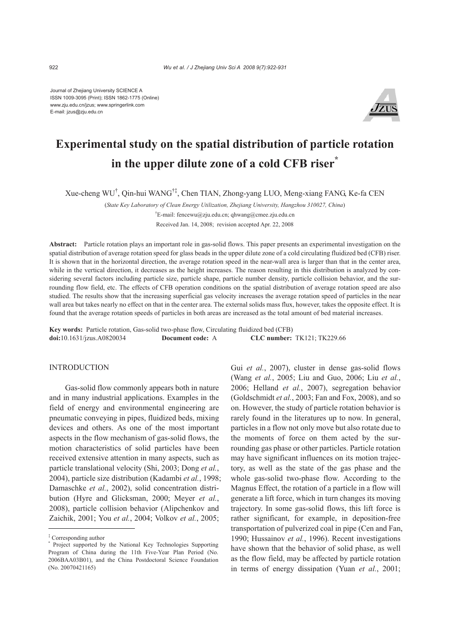Journal of Zhejiang University SCIENCE A ISSN 1009-3095 (Print); ISSN 1862-1775 (Online) www.zju.edu.cn/jzus; www.springerlink.com E-mail: jzus@zju.edu.cn



# **Experimental study on the spatial distribution of particle rotation in the upper dilute zone of a cold CFB riser\***

Xue-cheng WU† , Qin-hui WANG†‡, Chen TIAN, Zhong-yang LUO, Meng-xiang FANG, Ke-fa CEN

(*State Key Laboratory of Clean Energy Utilization, Zhejiang University, Hangzhou 310027, China*)

† E-mail: fencewu@zju.edu.cn; qhwang@cmee.zju.edu.cn Received Jan. 14, 2008; revision accepted Apr. 22, 2008

**Abstract:** Particle rotation plays an important role in gas-solid flows. This paper presents an experimental investigation on the spatial distribution of average rotation speed for glass beads in the upper dilute zone of a cold circulating fluidized bed (CFB) riser. It is shown that in the horizontal direction, the average rotation speed in the near-wall area is larger than that in the center area, while in the vertical direction, it decreases as the height increases. The reason resulting in this distribution is analyzed by considering several factors including particle size, particle shape, particle number density, particle collision behavior, and the surrounding flow field, etc. The effects of CFB operation conditions on the spatial distribution of average rotation speed are also studied. The results show that the increasing superficial gas velocity increases the average rotation speed of particles in the near wall area but takes nearly no effect on that in the center area. The external solids mass flux, however, takes the opposite effect. It is found that the average rotation speeds of particles in both areas are increased as the total amount of bed material increases.

**Key words:** Particle rotation, Gas-solid two-phase flow, Circulating fluidized bed (CFB) **doi:**10.1631/jzus.A0820034 **Document code:** A **CLC number:** TK121; TK229.66

## INTRODUCTION

Gas-solid flow commonly appears both in nature and in many industrial applications. Examples in the field of energy and environmental engineering are pneumatic conveying in pipes, fluidized beds, mixing devices and others. As one of the most important aspects in the flow mechanism of gas-solid flows, the motion characteristics of solid particles have been received extensive attention in many aspects, such as particle translational velocity (Shi, 2003; Dong *et al.*, 2004), particle size distribution (Kadambi *et al.*, 1998; Damaschke *et al.*, 2002), solid concentration distribution (Hyre and Glicksman, 2000; Meyer *et al.*, 2008), particle collision behavior (Alipchenkov and Zaichik, 2001; You *et al.*, 2004; Volkov *et al.*, 2005;

Gui *et al.*, 2007), cluster in dense gas-solid flows (Wang *et al.*, 2005; Liu and Guo, 2006; Liu *et al.*, 2006; Helland *et al.*, 2007), segregation behavior (Goldschmidt *et al.*, 2003; Fan and Fox, 2008), and so on. However, the study of particle rotation behavior is rarely found in the literatures up to now. In general, particles in a flow not only move but also rotate due to the moments of force on them acted by the surrounding gas phase or other particles. Particle rotation may have significant influences on its motion trajectory, as well as the state of the gas phase and the whole gas-solid two-phase flow. According to the Magnus Effect, the rotation of a particle in a flow will generate a lift force, which in turn changes its moving trajectory. In some gas-solid flows, this lift force is rather significant, for example, in deposition-free transportation of pulverized coal in pipe (Cen and Fan, 1990; Hussainov *et al.*, 1996). Recent investigations have shown that the behavior of solid phase, as well as the flow field, may be affected by particle rotation in terms of energy dissipation (Yuan *et al.*, 2001;

<sup>‡</sup> Corresponding author

<sup>\*</sup> Project supported by the National Key Technologies Supporting Program of China during the 11th Five-Year Plan Period (No. 2006BAA03B01), and the China Postdoctoral Science Foundation (No. 20070421165)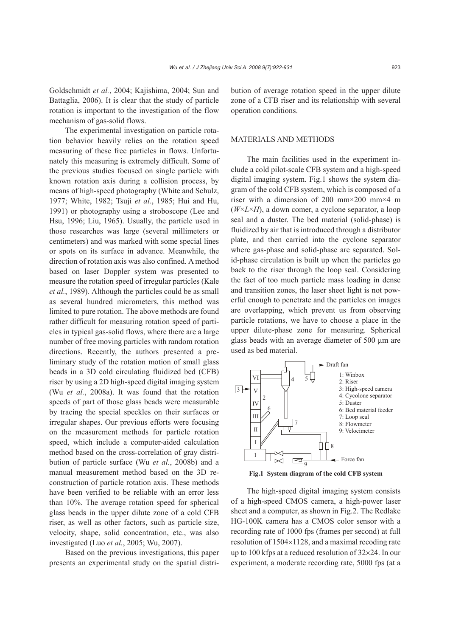Goldschmidt *et al.*, 2004; Kajishima, 2004; Sun and Battaglia, 2006). It is clear that the study of particle rotation is important to the investigation of the flow mechanism of gas-solid flows.

The experimental investigation on particle rotation behavior heavily relies on the rotation speed measuring of these free particles in flows. Unfortunately this measuring is extremely difficult. Some of the previous studies focused on single particle with known rotation axis during a collision process, by means of high-speed photography (White and Schulz, 1977; White, 1982; Tsuji *et al.*, 1985; Hui and Hu, 1991) or photography using a stroboscope (Lee and Hsu, 1996; Liu, 1965). Usually, the particle used in those researches was large (several millimeters or centimeters) and was marked with some special lines or spots on its surface in advance. Meanwhile, the direction of rotation axis was also confined. A method based on laser Doppler system was presented to measure the rotation speed of irregular particles (Kale *et al.*, 1989). Although the particles could be as small as several hundred micrometers, this method was limited to pure rotation. The above methods are found rather difficult for measuring rotation speed of particles in typical gas-solid flows, where there are a large number of free moving particles with random rotation directions. Recently, the authors presented a preliminary study of the rotation motion of small glass beads in a 3D cold circulating fluidized bed (CFB) riser by using a 2D high-speed digital imaging system (Wu *et al.*, 2008a). It was found that the rotation speeds of part of those glass beads were measurable by tracing the special speckles on their surfaces or irregular shapes. Our previous efforts were focusing on the measurement methods for particle rotation speed, which include a computer-aided calculation method based on the cross-correlation of gray distribution of particle surface (Wu *et al.*, 2008b) and a manual measurement method based on the 3D reconstruction of particle rotation axis. These methods have been verified to be reliable with an error less than 10%. The average rotation speed for spherical glass beads in the upper dilute zone of a cold CFB riser, as well as other factors, such as particle size, velocity, shape, solid concentration, etc., was also investigated (Luo *et al.*, 2005; Wu, 2007).

Based on the previous investigations, this paper presents an experimental study on the spatial distribution of average rotation speed in the upper dilute zone of a CFB riser and its relationship with several operation conditions.

#### MATERIALS AND METHODS

The main facilities used in the experiment include a cold pilot-scale CFB system and a high-speed digital imaging system. Fig.1 shows the system diagram of the cold CFB system, which is composed of a riser with a dimension of 200 mm×200 mm×4 m (*W*×*L*×*H*), a down comer, a cyclone separator, a loop seal and a duster. The bed material (solid-phase) is fluidized by air that is introduced through a distributor plate, and then carried into the cyclone separator where gas-phase and solid-phase are separated. Solid-phase circulation is built up when the particles go back to the riser through the loop seal. Considering the fact of too much particle mass loading in dense and transition zones, the laser sheet light is not powerful enough to penetrate and the particles on images are overlapping, which prevent us from observing particle rotations, we have to choose a place in the upper dilute-phase zone for measuring. Spherical glass beads with an average diameter of 500 μm are used as bed material.



**Fig.1 System diagram of the cold CFB system** 

The high-speed digital imaging system consists of a high-speed CMOS camera, a high-power laser sheet and a computer, as shown in Fig.2. The Redlake HG-100K camera has a CMOS color sensor with a recording rate of 1000 fps (frames per second) at full resolution of 1504×1128, and a maximal recoding rate up to 100 kfps at a reduced resolution of 32×24. In our experiment, a moderate recording rate, 5000 fps (at a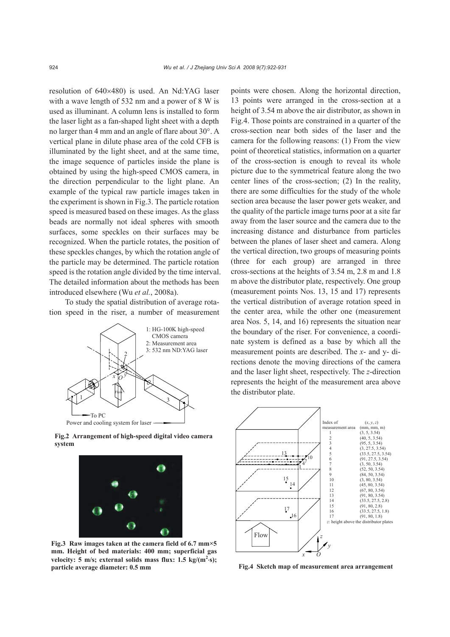resolution of 640×480) is used. An Nd:YAG laser with a wave length of 532 nm and a power of 8 W is used as illuminant. A column lens is installed to form the laser light as a fan-shaped light sheet with a depth no larger than 4 mm and an angle of flare about 30°. A vertical plane in dilute phase area of the cold CFB is illuminated by the light sheet, and at the same time, the image sequence of particles inside the plane is obtained by using the high-speed CMOS camera, in the direction perpendicular to the light plane. An example of the typical raw particle images taken in the experiment is shown in Fig.3. The particle rotation speed is measured based on these images. As the glass beads are normally not ideal spheres with smooth surfaces, some speckles on their surfaces may be recognized. When the particle rotates, the position of these speckles changes, by which the rotation angle of the particle may be determined. The particle rotation speed is the rotation angle divided by the time interval. The detailed information about the methods has been introduced elsewhere (Wu *et al.*, 2008a).

To study the spatial distribution of average rotation speed in the riser, a number of measurement



**Fig.2 Arrangement of high-speed digital video camera system** 



**Fig.3 Raw images taken at the camera field of 6.7 mm×5 mm. Height of bed materials: 400 mm; superficial gas** velocity: 5 m/s; external solids mass flux:  $1.5 \text{ kg/(m}^2\text{-s})$ ; **particle average diameter: 0.5 mm** Fig.4 Sketch map of measurement area arrangement

points were chosen. Along the horizontal direction, 13 points were arranged in the cross-section at a height of 3.54 m above the air distributor, as shown in Fig.4. Those points are constrained in a quarter of the cross-section near both sides of the laser and the camera for the following reasons: (1) From the view point of theoretical statistics, information on a quarter of the cross-section is enough to reveal its whole picture due to the symmetrical feature along the two center lines of the cross-section; (2) In the reality, there are some difficulties for the study of the whole section area because the laser power gets weaker, and the quality of the particle image turns poor at a site far away from the laser source and the camera due to the increasing distance and disturbance from particles between the planes of laser sheet and camera. Along the vertical direction, two groups of measuring points (three for each group) are arranged in three cross-sections at the heights of 3.54 m, 2.8 m and 1.8 m above the distributor plate, respectively. One group (measurement points Nos. 13, 15 and 17) represents the vertical distribution of average rotation speed in the center area, while the other one (measurement area Nos. 5, 14, and 16) represents the situation near the boundary of the riser. For convenience, a coordinate system is defined as a base by which all the measurement points are described. The *x*- and y- directions denote the moving directions of the camera and the laser light sheet, respectively. The *z*-direction represents the height of the measurement area above the distributor plate.

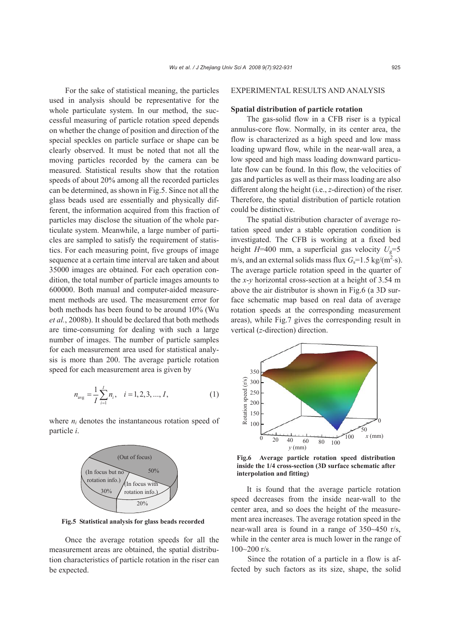For the sake of statistical meaning, the particles used in analysis should be representative for the whole particulate system. In our method, the successful measuring of particle rotation speed depends on whether the change of position and direction of the special speckles on particle surface or shape can be clearly observed. It must be noted that not all the moving particles recorded by the camera can be measured. Statistical results show that the rotation speeds of about 20% among all the recorded particles can be determined, as shown in Fig.5. Since not all the glass beads used are essentially and physically different, the information acquired from this fraction of particles may disclose the situation of the whole particulate system. Meanwhile, a large number of particles are sampled to satisfy the requirement of statistics. For each measuring point, five groups of image sequence at a certain time interval are taken and about 35000 images are obtained. For each operation condition, the total number of particle images amounts to 600000. Both manual and computer-aided measurement methods are used. The measurement error for both methods has been found to be around 10% (Wu *et al.*, 2008b). It should be declared that both methods are time-consuming for dealing with such a large number of images. The number of particle samples for each measurement area used for statistical analysis is more than 200. The average particle rotation speed for each measurement area is given by

$$
n_{\text{avg}} = \frac{1}{I} \sum_{i=1}^{I} n_i, \quad i = 1, 2, 3, ..., I,
$$
 (1)

where  $n_i$  denotes the instantaneous rotation speed of particle *i*.



**Fig.5 Statistical analysis for glass beads recorded**

Once the average rotation speeds for all the measurement areas are obtained, the spatial distribution characteristics of particle rotation in the riser can be expected.

## EXPERIMENTAL RESULTS AND ANALYSIS

#### **Spatial distribution of particle rotation**

The gas-solid flow in a CFB riser is a typical annulus-core flow. Normally, in its center area, the flow is characterized as a high speed and low mass loading upward flow, while in the near-wall area, a low speed and high mass loading downward particulate flow can be found. In this flow, the velocities of gas and particles as well as their mass loading are also different along the height (i.e., *z*-direction) of the riser. Therefore, the spatial distribution of particle rotation could be distinctive.

The spatial distribution character of average rotation speed under a stable operation condition is investigated. The CFB is working at a fixed bed height *H*=400 mm, a superficial gas velocity  $U_g$ =5 m/s, and an external solids mass flux  $G_s = 1.5 \text{ kg/(m}^2 \cdot \text{s})$ . The average particle rotation speed in the quarter of the *x*-*y* horizontal cross-section at a height of 3.54 m above the air distributor is shown in Fig.6 (a 3D surface schematic map based on real data of average rotation speeds at the corresponding measurement areas), while Fig.7 gives the corresponding result in vertical (*z*-direction) direction.



**Fig.6 Average particle rotation speed distribution inside the 1/4 cross-section (3D surface schematic after interpolation and fitting)** 

It is found that the average particle rotation speed decreases from the inside near-wall to the center area, and so does the height of the measurement area increases. The average rotation speed in the near-wall area is found in a range of 350~450 r/s, while in the center area is much lower in the range of 100~200 r/s.

Since the rotation of a particle in a flow is affected by such factors as its size, shape, the solid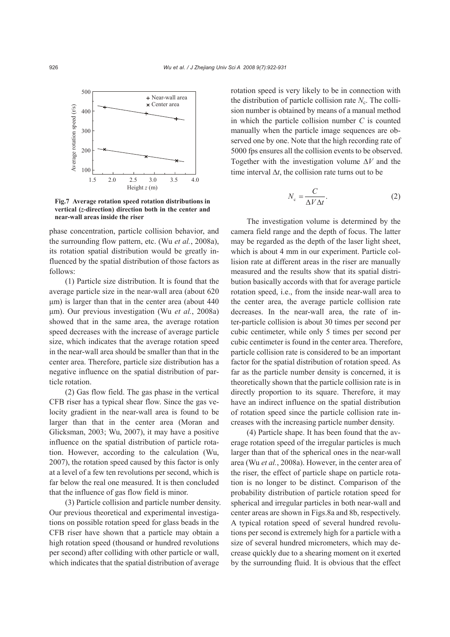

**Fig.7 Average rotation speed rotation distributions in vertical (***z***-direction) direction both in the center and near-wall areas inside the riser** 

phase concentration, particle collision behavior, and the surrounding flow pattern, etc. (Wu *et al.*, 2008a), its rotation spatial distribution would be greatly influenced by the spatial distribution of those factors as follows:

(1) Particle size distribution. It is found that the average particle size in the near-wall area (about 620 μm) is larger than that in the center area (about 440 μm). Our previous investigation (Wu *et al.*, 2008a) showed that in the same area, the average rotation speed decreases with the increase of average particle size, which indicates that the average rotation speed in the near-wall area should be smaller than that in the center area. Therefore, particle size distribution has a negative influence on the spatial distribution of particle rotation.

(2) Gas flow field. The gas phase in the vertical CFB riser has a typical shear flow. Since the gas velocity gradient in the near-wall area is found to be larger than that in the center area (Moran and Glicksman, 2003; Wu, 2007), it may have a positive influence on the spatial distribution of particle rotation. However, according to the calculation (Wu, 2007), the rotation speed caused by this factor is only at a level of a few ten revolutions per second, which is far below the real one measured. It is then concluded that the influence of gas flow field is minor.

(3) Particle collision and particle number density. Our previous theoretical and experimental investigations on possible rotation speed for glass beads in the CFB riser have shown that a particle may obtain a high rotation speed (thousand or hundred revolutions per second) after colliding with other particle or wall, which indicates that the spatial distribution of average

rotation speed is very likely to be in connection with the distribution of particle collision rate  $N_c$ . The collision number is obtained by means of a manual method in which the particle collision number *C* is counted manually when the particle image sequences are observed one by one. Note that the high recording rate of 5000 fps ensures all the collision events to be observed. Together with the investigation volume Δ*V* and the time interval  $\Delta t$ , the collision rate turns out to be

$$
N_c = \frac{C}{\Delta V \Delta t}.
$$
 (2)

The investigation volume is determined by the camera field range and the depth of focus. The latter may be regarded as the depth of the laser light sheet, which is about 4 mm in our experiment. Particle collision rate at different areas in the riser are manually measured and the results show that its spatial distribution basically accords with that for average particle rotation speed, i.e., from the inside near-wall area to the center area, the average particle collision rate decreases. In the near-wall area, the rate of inter-particle collision is about 30 times per second per cubic centimeter, while only 5 times per second per cubic centimeter is found in the center area. Therefore, particle collision rate is considered to be an important factor for the spatial distribution of rotation speed. As far as the particle number density is concerned, it is theoretically shown that the particle collision rate is in directly proportion to its square. Therefore, it may have an indirect influence on the spatial distribution of rotation speed since the particle collision rate increases with the increasing particle number density.

(4) Particle shape. It has been found that the average rotation speed of the irregular particles is much larger than that of the spherical ones in the near-wall area (Wu *et al.*, 2008a). However, in the center area of the riser, the effect of particle shape on particle rotation is no longer to be distinct. Comparison of the probability distribution of particle rotation speed for spherical and irregular particles in both near-wall and center areas are shown in Figs.8a and 8b, respectively. A typical rotation speed of several hundred revolutions per second is extremely high for a particle with a size of several hundred micrometers, which may decrease quickly due to a shearing moment on it exerted by the surrounding fluid. It is obvious that the effect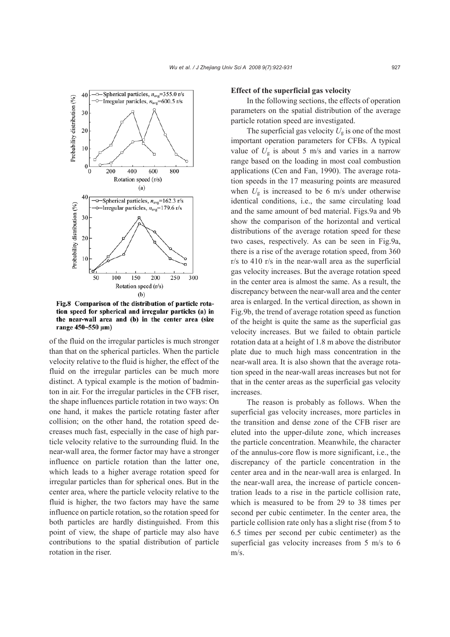

Fig.8 Comparison of the distribution of particle rotation speed for spherical and irregular particles (a) in the near-wall area and (b) in the center area (size range 450~550 µm)

of the fluid on the irregular particles is much stronger than that on the spherical particles. When the particle velocity relative to the fluid is higher, the effect of the fluid on the irregular particles can be much more distinct. A typical example is the motion of badminton in air. For the irregular particles in the CFB riser, the shape influences particle rotation in two ways: On one hand, it makes the particle rotating faster after collision; on the other hand, the rotation speed decreases much fast, especially in the case of high particle velocity relative to the surrounding fluid. In the near-wall area, the former factor may have a stronger influence on particle rotation than the latter one, which leads to a higher average rotation speed for irregular particles than for spherical ones. But in the center area, where the particle velocity relative to the fluid is higher, the two factors may have the same influence on particle rotation, so the rotation speed for both particles are hardly distinguished. From this point of view, the shape of particle may also have contributions to the spatial distribution of particle rotation in the riser.

#### **Effect of the superficial gas velocity**

In the following sections, the effects of operation parameters on the spatial distribution of the average particle rotation speed are investigated.

The superficial gas velocity  $U_g$  is one of the most important operation parameters for CFBs. A typical value of  $U<sub>g</sub>$  is about 5 m/s and varies in a narrow range based on the loading in most coal combustion applications (Cen and Fan, 1990). The average rotation speeds in the 17 measuring points are measured when  $U_{\rm g}$  is increased to be 6 m/s under otherwise identical conditions, i.e., the same circulating load and the same amount of bed material. Figs.9a and 9b show the comparison of the horizontal and vertical distributions of the average rotation speed for these two cases, respectively. As can be seen in Fig.9a, there is a rise of the average rotation speed, from 360 r/s to 410 r/s in the near-wall area as the superficial gas velocity increases. But the average rotation speed in the center area is almost the same. As a result, the discrepancy between the near-wall area and the center area is enlarged. In the vertical direction, as shown in Fig.9b, the trend of average rotation speed as function of the height is quite the same as the superficial gas velocity increases. But we failed to obtain particle rotation data at a height of 1.8 m above the distributor plate due to much high mass concentration in the near-wall area. It is also shown that the average rotation speed in the near-wall areas increases but not for that in the center areas as the superficial gas velocity increases.

The reason is probably as follows. When the superficial gas velocity increases, more particles in the transition and dense zone of the CFB riser are eluted into the upper-dilute zone, which increases the particle concentration. Meanwhile, the character of the annulus-core flow is more significant, i.e., the discrepancy of the particle concentration in the center area and in the near-wall area is enlarged. In the near-wall area, the increase of particle concentration leads to a rise in the particle collision rate, which is measured to be from 29 to 38 times per second per cubic centimeter. In the center area, the particle collision rate only has a slight rise (from 5 to 6.5 times per second per cubic centimeter) as the superficial gas velocity increases from 5 m/s to 6 m/s.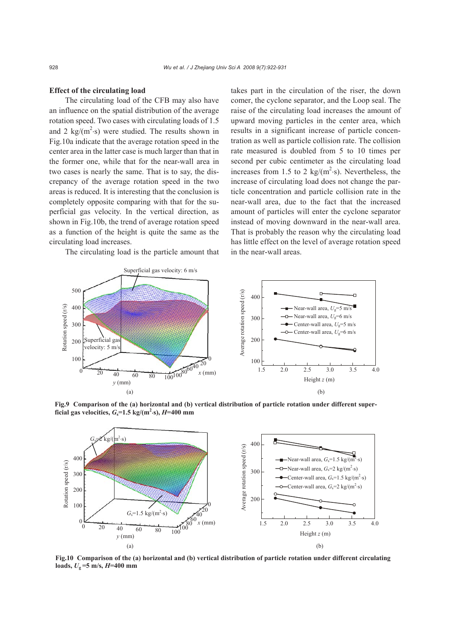### **Effect of the circulating load**

The circulating load of the CFB may also have an influence on the spatial distribution of the average rotation speed. Two cases with circulating loads of 1.5 and 2 kg/( $m^2$ ·s) were studied. The results shown in Fig.10a indicate that the average rotation speed in the center area in the latter case is much larger than that in the former one, while that for the near-wall area in two cases is nearly the same. That is to say, the discrepancy of the average rotation speed in the two areas is reduced. It is interesting that the conclusion is completely opposite comparing with that for the superficial gas velocity. In the vertical direction, as shown in Fig.10b, the trend of average rotation speed as a function of the height is quite the same as the circulating load increases.

The circulating load is the particle amount that

takes part in the circulation of the riser, the down comer, the cyclone separator, and the Loop seal. The raise of the circulating load increases the amount of upward moving particles in the center area, which results in a significant increase of particle concentration as well as particle collision rate. The collision rate measured is doubled from 5 to 10 times per second per cubic centimeter as the circulating load increases from 1.5 to 2  $\text{kg/(m}^2\text{-s})$ . Nevertheless, the increase of circulating load does not change the particle concentration and particle collision rate in the near-wall area, due to the fact that the increased amount of particles will enter the cyclone separator instead of moving downward in the near-wall area. That is probably the reason why the circulating load has little effect on the level of average rotation speed in the near-wall areas.



**Fig.9 Comparison of the (a) horizontal and (b) vertical distribution of particle rotation under different superficial gas velocities,**  $G_s = 1.5 \text{ kg/(m}^2 \cdot \text{s)}$ **,**  $H = 400 \text{ mm}$ 



**Fig.10 Comparison of the (a) horizontal and (b) vertical distribution of particle rotation under different circulating loads,**  $U_{\rm g} = 5 \text{ m/s}, H = 400 \text{ mm}$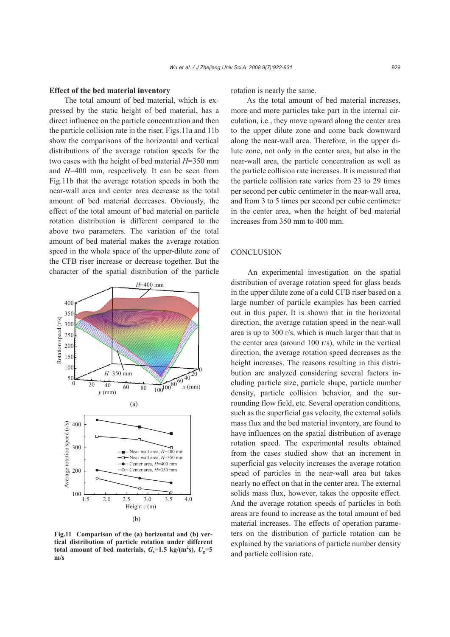#### **Effect of the bed material inventory**

The total amount of bed material, which is expressed by the static height of bed material, has a direct influence on the particle concentration and then the particle collision rate in the riser. Figs.11a and 11b show the comparisons of the horizontal and vertical distributions of the average rotation speeds for the two cases with the height of bed material *H*=350 mm and *H*=400 mm, respectively. It can be seen from Fig.11b that the average rotation speeds in both the near-wall area and center area decrease as the total amount of bed material decreases. Obviously, the effect of the total amount of bed material on particle rotation distribution is different compared to the above two parameters. The variation of the total amount of bed material makes the average rotation speed in the whole space of the upper-dilute zone of the CFB riser increase or decrease together. But the character of the spatial distribution of the particle



**Fig.11 Comparison of the (a) horizontal and (b) vertical distribution of particle rotation under different total amount of bed materials,**  $G_s = 1.5$  **kg/(m<sup>2</sup>s),**  $U_g = 5$ **m/s** 

rotation is nearly the same.

As the total amount of bed material increases, more and more particles take part in the internal circulation, i.e., they move upward along the center area to the upper dilute zone and come back downward along the near-wall area. Therefore, in the upper dilute zone, not only in the center area, but also in the near-wall area, the particle concentration as well as the particle collision rate increases. It is measured that the particle collision rate varies from 23 to 29 times per second per cubic centimeter in the near-wall area, and from 3 to 5 times per second per cubic centimeter in the center area, when the height of bed material increases from 350 mm to 400 mm.

## **CONCLUSION**

An experimental investigation on the spatial distribution of average rotation speed for glass beads in the upper dilute zone of a cold CFB riser based on a large number of particle examples has been carried out in this paper. It is shown that in the horizontal direction, the average rotation speed in the near-wall area is up to 300 r/s, which is much larger than that in the center area (around 100 r/s), while in the vertical direction, the average rotation speed decreases as the height increases. The reasons resulting in this distribution are analyzed considering several factors including particle size, particle shape, particle number density, particle collision behavior, and the surrounding flow field, etc. Several operation conditions, such as the superficial gas velocity, the external solids mass flux and the bed material inventory, are found to have influences on the spatial distribution of average rotation speed. The experimental results obtained from the cases studied show that an increment in superficial gas velocity increases the average rotation speed of particles in the near-wall area but takes nearly no effect on that in the center area. The external solids mass flux, however, takes the opposite effect. And the average rotation speeds of particles in both areas are found to increase as the total amount of bed material increases. The effects of operation parameters on the distribution of particle rotation can be explained by the variations of particle number density and particle collision rate.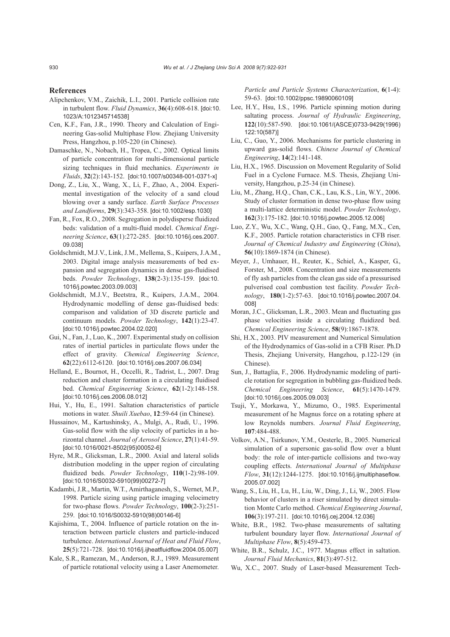#### **References**

- Alipchenkov, V.M., Zaichik, L.I., 2001. Particle collision rate in turbulent flow. *Fluid Dynamics*, **36**(4):608-618. [doi:10. 1023/A:1012345714538]
- Cen, K.F., Fan, J.R., 1990. Theory and Calculation of Engineering Gas-solid Multiphase Flow. Zhejiang University Press, Hangzhou, p.105-220 (in Chinese).
- Damaschke, N., Nobach, H., Tropea, C., 2002. Optical limits of particle concentration for multi-dimensional particle sizing techniques in fluid mechanics. *Experiments in Fluids*, **32**(2):143-152. [doi:10.1007/s00348-001-0371-x]
- Dong, Z., Liu, X., Wang, X., Li, F., Zhao, A., 2004. Experimental investigation of the velocity of a sand cloud blowing over a sandy surface. *Earth Surface Processes and Landforms*, **29**(3):343-358. [doi:10.1002/esp.1030]
- Fan, R., Fox, R.O., 2008. Segregation in polydisperse fluidized beds: validation of a multi-fluid model. *Chemical Engineering Science*, **63**(1):272-285. [doi:10.1016/j.ces.2007. 09.038]
- Goldschmidt, M.J.V., Link, J.M., Mellema, S., Kuipers, J.A.M., 2003. Digital image analysis measurements of bed expansion and segregation dynamics in dense gas-fluidised beds. *Powder Technology*, **138**(2-3):135-159. [doi:10. 1016/j.powtec.2003.09.003]
- Goldschmidt, M.J.V., Beetstra, R., Kuipers, J.A.M., 2004. Hydrodynamic modelling of dense gas-fluidised beds: comparison and validation of 3D discrete particle and continuum models. *Powder Technology*, **142**(1):23-47. [doi:10.1016/j.powtec.2004.02.020]
- Gui, N., Fan, J., Luo, K., 2007. Experimental study on collision rates of inertial particles in particulate flows under the effect of gravity. *Chemical Engineering Science*, **62**(22):6112-6120. [doi:10.1016/j.ces.2007.06.034]
- Helland, E., Bournot, H., Occelli, R., Tadrist, L., 2007. Drag reduction and cluster formation in a circulating fluidised bed. *Chemical Engineering Science*, **62**(1-2):148-158. [doi:10.1016/j.ces.2006.08.012]
- Hui, Y., Hu, E., 1991. Saltation characteristics of particle motions in water. *Shuili Xuebao*, **12**:59-64 (in Chinese).
- Hussainov, M., Kartushinsky, A., Mulgi, A., Rudi, U., 1996. Gas-solid flow with the slip velocity of particles in a horizontal channel. *Journal of Aerosol Science*, **27**(1):41-59. [doi:10.1016/0021-8502(95)00052-6]
- Hyre, M.R., Glicksman, L.R., 2000. Axial and lateral solids distribution modeling in the upper region of circulating fluidized beds. *Powder Technology*, **110**(1-2):98-109. [doi:10.1016/S0032-5910(99)00272-7]
- Kadambi, J.R., Martin, W.T., Amirthaganesh, S., Wernet, M.P., 1998. Particle sizing using particle imaging velocimetry for two-phase flows. *Powder Technology*, **100**(2-3):251- 259. [doi:10.1016/S0032-5910(98)00146-6]
- Kajishima, T., 2004. Influence of particle rotation on the interaction between particle clusters and particle-induced turbulence. *International Journal of Heat and Fluid Flow*, **25**(5):721-728. [doi:10.1016/j.ijheatfluidflow.2004.05.007]
- Kale, S.R., Ramezan, M., Anderson, R.J., 1989. Measurement of particle rotational velocity using a Laser Anemometer.

*Particle and Particle Systems Characterization*, **6**(1-4): 59-63. [doi:10.1002/ppsc.19890060109]

- Lee, H.Y., Hsu, I.S., 1996. Particle spinning motion during saltating process. *Journal of Hydraulic Engineering*, **122**(10):587-590. [doi:10.1061/(ASCE)0733-9429(1996) 122:10(587)]
- Liu, C., Guo, Y., 2006. Mechanisms for particle clustering in upward gas-solid flows. *Chinese Journal of Chemical Engineering*, **14**(2):141-148.
- Liu, H.X., 1965. Discussion on Movement Regularity of Solid Fuel in a Cyclone Furnace. M.S. Thesis, Zhejiang University, Hangzhou, p.25-34 (in Chinese).
- Liu, M., Zhang, H.Q., Chan, C.K., Lau, K.S., Lin, W.Y., 2006. Study of cluster formation in dense two-phase flow using a multi-lattice deterministic model. *Powder Technology*, **162**(3):175-182. [doi:10.1016/j.powtec.2005.12.006]
- Luo, Z.Y., Wu, X.C., Wang, Q.H., Gao, Q., Fang, M.X., Cen, K.F., 2005. Particle rotation characteristics in CFB riser. *Journal of Chemical Industry and Engineering* (*China*), **56**(10):1869-1874 (in Chinese).
- Meyer, J., Umhauer, H., Reuter, K., Schiel, A., Kasper, G., Forster, M., 2008. Concentration and size measurements of fly ash particles from the clean gas side of a pressurised pulverised coal combustion test facility. *Powder Technology*, **180**(1-2):57-63. [doi:10.1016/j.powtec.2007.04. 008]
- Moran, J.C., Glicksman, L.R., 2003. Mean and fluctuating gas phase velocities inside a circulating fluidized bed. *Chemical Engineering Science*, **58**(9):1867-1878.
- Shi, H.X., 2003. PIV measurement and Numerical Simulation of the Hydrodynamics of Gas-solid in a CFB Riser. Ph.D Thesis, Zhejiang University, Hangzhou, p.122-129 (in Chinese).
- Sun, J., Battaglia, F., 2006. Hydrodynamic modeling of particle rotation for segregation in bubbling gas-fluidized beds. *Chemical Engineering Science*, **61**(5):1470-1479. [doi:10.1016/j.ces.2005.09.003]
- Tsuji, Y., Morkawa, Y., Mizumo, O., 1985. Experimental measurement of he Magnus force on a rotating sphere at low Reynolds numbers. *Journal Fluid Engineering*, **107**:484-488.
- Volkov, A.N., Tsirkunov, Y.M., Oesterle, B., 2005. Numerical simulation of a supersonic gas-solid flow over a blunt body: the role of inter-particle collisions and two-way coupling effects. *International Journal of Multiphase Flow*, **31**(12):1244-1275. [doi:10.1016/j.ijmultiphaseflow. 2005.07.002]
- Wang, S., Liu, H., Lu, H., Liu, W., Ding, J., Li, W., 2005. Flow behavior of clusters in a riser simulated by direct simulation Monte Carlo method. *Chemical Engineering Journal*, **106**(3):197-211. [doi:10.1016/j.cej.2004.12.036]
- White, B.R., 1982. Two-phase measurements of saltating turbulent boundary layer flow. *International Journal of Multiphase Flow*, **8**(5):459-473.
- White, B.R., Schulz, J.C., 1977. Magnus effect in saltation. *Journal Fluid Mechanics*, **81**(3):497-512.
- Wu, X.C., 2007. Study of Laser-based Measurement Tech-